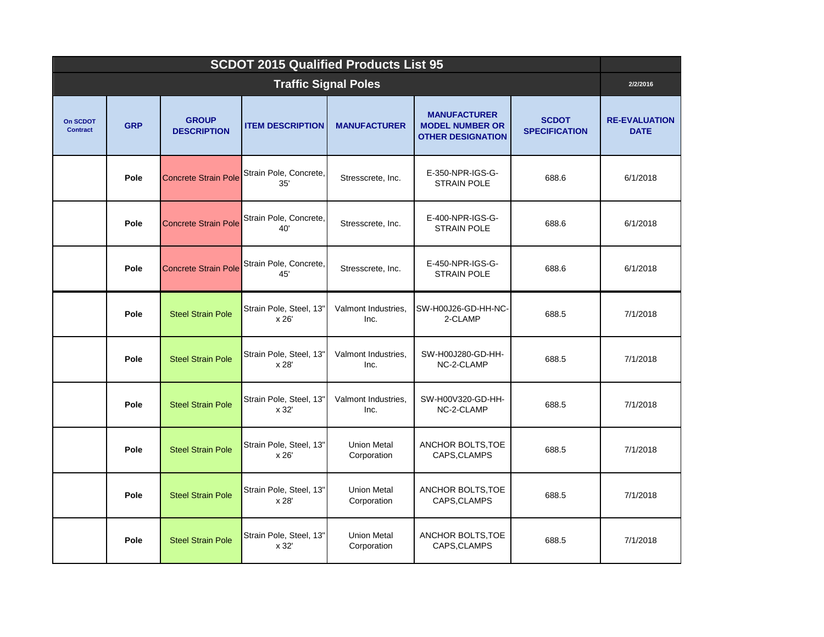| <b>SCDOT 2015 Qualified Products List 95</b> |            |                                    |                                  |                                   |                                                                           |                                      |                                     |  |  |  |
|----------------------------------------------|------------|------------------------------------|----------------------------------|-----------------------------------|---------------------------------------------------------------------------|--------------------------------------|-------------------------------------|--|--|--|
| <b>Traffic Signal Poles</b>                  |            |                                    |                                  |                                   |                                                                           |                                      |                                     |  |  |  |
| On SCDOT<br><b>Contract</b>                  | <b>GRP</b> | <b>GROUP</b><br><b>DESCRIPTION</b> | <b>ITEM DESCRIPTION</b>          | <b>MANUFACTURER</b>               | <b>MANUFACTURER</b><br><b>MODEL NUMBER OR</b><br><b>OTHER DESIGNATION</b> | <b>SCDOT</b><br><b>SPECIFICATION</b> | <b>RE-EVALUATION</b><br><b>DATE</b> |  |  |  |
|                                              | Pole       | <b>Concrete Strain Pole</b>        | Strain Pole, Concrete,<br>35'    | Stresscrete, Inc.                 | E-350-NPR-IGS-G-<br><b>STRAIN POLE</b>                                    | 688.6                                | 6/1/2018                            |  |  |  |
|                                              | Pole       | <b>Concrete Strain Pole</b>        | Strain Pole, Concrete,<br>40'    | Stresscrete, Inc.                 | E-400-NPR-IGS-G-<br><b>STRAIN POLE</b>                                    | 688.6                                | 6/1/2018                            |  |  |  |
|                                              | Pole       | <b>Concrete Strain Pole</b>        | Strain Pole, Concrete,<br>45'    | Stresscrete, Inc.                 | E-450-NPR-IGS-G-<br><b>STRAIN POLE</b>                                    | 688.6                                | 6/1/2018                            |  |  |  |
|                                              | Pole       | <b>Steel Strain Pole</b>           | Strain Pole, Steel, 13"<br>x 26' | Valmont Industries.<br>Inc.       | SW-H00J26-GD-HH-NC-<br>2-CLAMP                                            | 688.5                                | 7/1/2018                            |  |  |  |
|                                              | Pole       | <b>Steel Strain Pole</b>           | Strain Pole, Steel, 13"<br>x 28' | Valmont Industries.<br>Inc.       | SW-H00J280-GD-HH-<br>NC-2-CLAMP                                           | 688.5                                | 7/1/2018                            |  |  |  |
|                                              | Pole       | <b>Steel Strain Pole</b>           | Strain Pole, Steel, 13"<br>x 32' | Valmont Industries,<br>Inc.       | SW-H00V320-GD-HH-<br>NC-2-CLAMP                                           | 688.5                                | 7/1/2018                            |  |  |  |
|                                              | Pole       | <b>Steel Strain Pole</b>           | Strain Pole, Steel, 13"<br>x 26' | <b>Union Metal</b><br>Corporation | ANCHOR BOLTS, TOE<br>CAPS, CLAMPS                                         | 688.5                                | 7/1/2018                            |  |  |  |
|                                              | Pole       | <b>Steel Strain Pole</b>           | Strain Pole, Steel, 13"<br>x 28' | <b>Union Metal</b><br>Corporation | ANCHOR BOLTS, TOE<br>CAPS, CLAMPS                                         | 688.5                                | 7/1/2018                            |  |  |  |
|                                              | Pole       | <b>Steel Strain Pole</b>           | Strain Pole, Steel, 13"<br>x 32' | <b>Union Metal</b><br>Corporation | ANCHOR BOLTS, TOE<br>CAPS, CLAMPS                                         | 688.5                                | 7/1/2018                            |  |  |  |